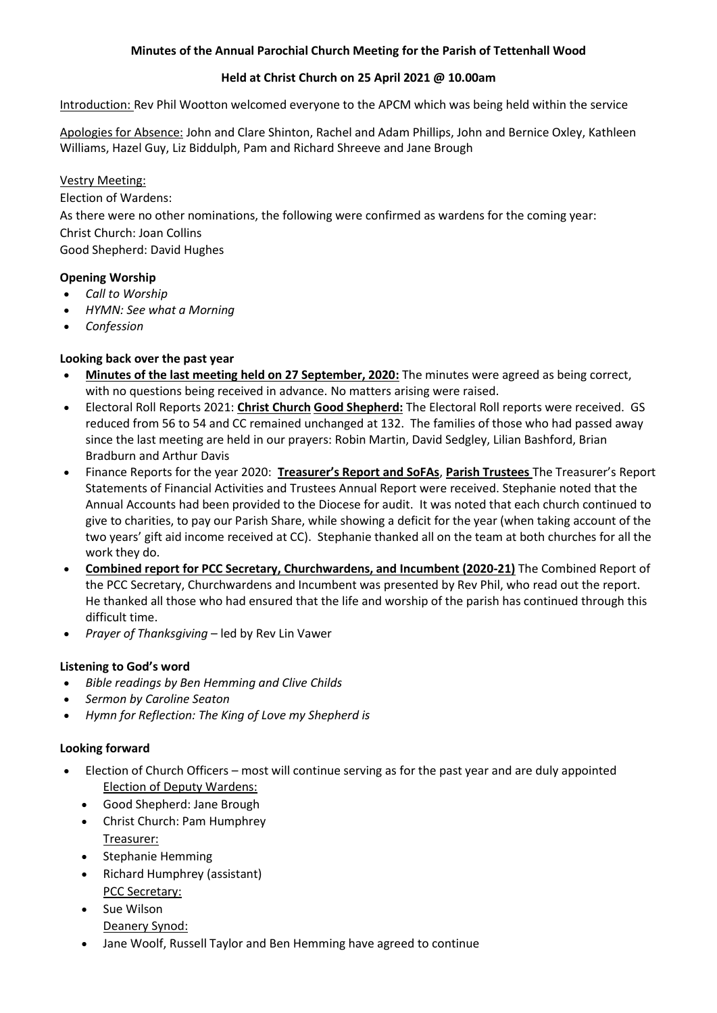### **Minutes of the Annual Parochial Church Meeting for the Parish of Tettenhall Wood**

#### **Held at Christ Church on 25 April 2021 @ 10.00am**

Introduction: Rev Phil Wootton welcomed everyone to the APCM which was being held within the service

Apologies for Absence: John and Clare Shinton, Rachel and Adam Phillips, John and Bernice Oxley, Kathleen Williams, Hazel Guy, Liz Biddulph, Pam and Richard Shreeve and Jane Brough

### Vestry Meeting:

Election of Wardens:

As there were no other nominations, the following were confirmed as wardens for the coming year: Christ Church: Joan Collins Good Shepherd: David Hughes

### **Opening Worship**

- *Call to Worship*
- *HYMN: See what a Morning*
- *Confession*

## **Looking back over the past year**

- **[Minutes of the last meeting held on 27 September, 2020:](http://www.christchurchtettenhallwood.co.uk/wp-content/uploads/2021/04/APCM-minutes-2020.pdf)** The minutes were agreed as being correct, with no questions being received in advance. No matters arising were raised.
- Electoral Roll Reports 2021: **[Christ Church](http://www.christchurchtettenhallwood.co.uk/wp-content/uploads/2021/04/Electoral-roll-2021-CC-3.pdf) [Good Shepherd:](http://www.christchurchtettenhallwood.co.uk/wp-content/uploads/2021/04/Electoral-Roll-Good-Shepherd-NamesOnly-2021.pdf)** The Electoral Roll reports were received. GS reduced from 56 to 54 and CC remained unchanged at 132. The families of those who had passed away since the last meeting are held in our prayers: Robin Martin, David Sedgley, Lilian Bashford, Brian Bradburn and Arthur Davis
- Finance Reports for the year 2020: **[Treasurer's Report and SoFAs](http://www.christchurchtettenhallwood.co.uk/wp-content/uploads/2021/04/APCM-Treasurers-Report-25th-April-2020.pdf)**, **[Parish Trustees](http://www.christchurchtettenhallwood.co.uk/wp-content/uploads/2021/04/PoTW-TAR-Yr-2020.pdf)** The Treasurer's Report Statements of Financial Activities and Trustees Annual Report were received. Stephanie noted that the Annual Accounts had been provided to the Diocese for audit. It was noted that each church continued to give to charities, to pay our Parish Share, while showing a deficit for the year (when taking account of the two years' gift aid income received at CC). Stephanie thanked all on the team at both churches for all the work they do.
- **[Combined report for PCC Secretary, Churchwardens, and Incumbent \(2020-21\)](http://www.christchurchtettenhallwood.co.uk/wp-content/uploads/2021/04/Joint-Report-APCM-25-April-2021.pdf)** The Combined Report of the PCC Secretary, Churchwardens and Incumbent was presented by Rev Phil, who read out the report. He thanked all those who had ensured that the life and worship of the parish has continued through this difficult time.
- *Prayer of Thanksgiving* led by Rev Lin Vawer

## **Listening to God's word**

- *Bible readings by Ben Hemming and Clive Childs*
- *Sermon by Caroline Seaton*
- *Hymn for Reflection: The King of Love my Shepherd is*

#### **Looking forward**

- Election of Church Officers most will continue serving as for the past year and are duly appointed Election of Deputy Wardens:
	- Good Shepherd: Jane Brough
	- Christ Church: Pam Humphrey Treasurer:
	- Stephanie Hemming
	- Richard Humphrey (assistant) PCC Secretary:
	- Sue Wilson Deanery Synod:
	- Jane Woolf, Russell Taylor and Ben Hemming have agreed to continue